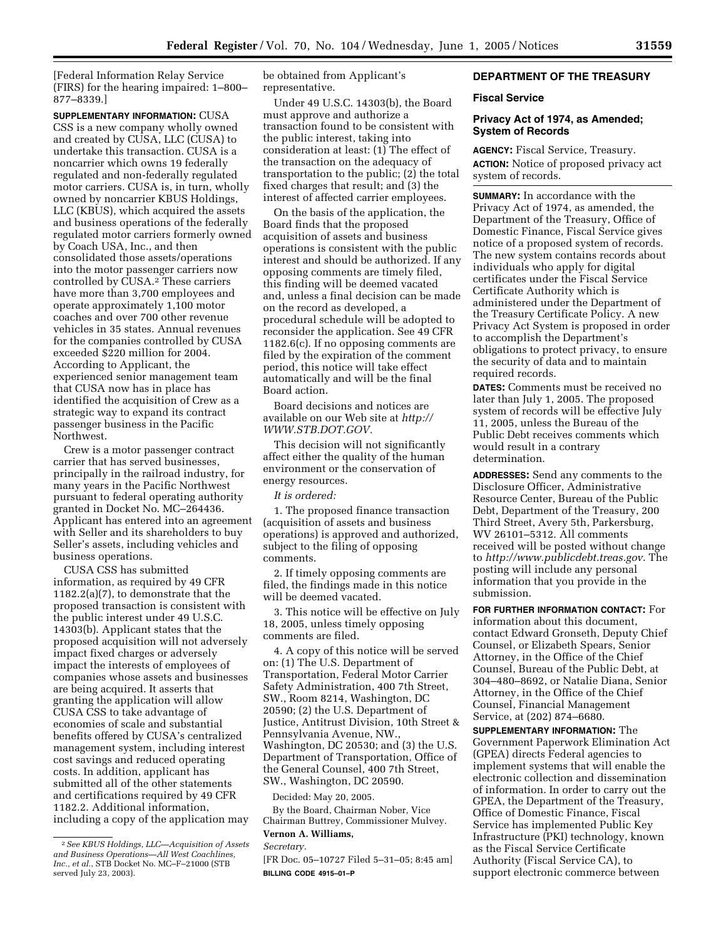[Federal Information Relay Service (FIRS) for the hearing impaired: 1–800– 877–8339.]

**SUPPLEMENTARY INFORMATION:** CUSA CSS is a new company wholly owned and created by CUSA, LLC (CUSA) to undertake this transaction. CUSA is a noncarrier which owns 19 federally regulated and non-federally regulated motor carriers. CUSA is, in turn, wholly owned by noncarrier KBUS Holdings, LLC (KBUS), which acquired the assets and business operations of the federally regulated motor carriers formerly owned by Coach USA, Inc., and then consolidated those assets/operations into the motor passenger carriers now controlled by CUSA.2 These carriers have more than 3,700 employees and operate approximately 1,100 motor coaches and over 700 other revenue vehicles in 35 states. Annual revenues for the companies controlled by CUSA exceeded \$220 million for 2004. According to Applicant, the experienced senior management team that CUSA now has in place has identified the acquisition of Crew as a strategic way to expand its contract passenger business in the Pacific Northwest.

Crew is a motor passenger contract carrier that has served businesses, principally in the railroad industry, for many years in the Pacific Northwest pursuant to federal operating authority granted in Docket No. MC–264436. Applicant has entered into an agreement with Seller and its shareholders to buy Seller's assets, including vehicles and business operations.

CUSA CSS has submitted information, as required by 49 CFR 1182.2(a)(7), to demonstrate that the proposed transaction is consistent with the public interest under 49 U.S.C. 14303(b). Applicant states that the proposed acquisition will not adversely impact fixed charges or adversely impact the interests of employees of companies whose assets and businesses are being acquired. It asserts that granting the application will allow CUSA CSS to take advantage of economies of scale and substantial benefits offered by CUSA's centralized management system, including interest cost savings and reduced operating costs. In addition, applicant has submitted all of the other statements and certifications required by 49 CFR 1182.2. Additional information, including a copy of the application may be obtained from Applicant's representative.

Under 49 U.S.C. 14303(b), the Board must approve and authorize a transaction found to be consistent with the public interest, taking into consideration at least: (1) The effect of the transaction on the adequacy of transportation to the public; (2) the total fixed charges that result; and (3) the interest of affected carrier employees.

On the basis of the application, the Board finds that the proposed acquisition of assets and business operations is consistent with the public interest and should be authorized. If any opposing comments are timely filed, this finding will be deemed vacated and, unless a final decision can be made on the record as developed, a procedural schedule will be adopted to reconsider the application. See 49 CFR 1182.6(c). If no opposing comments are filed by the expiration of the comment period, this notice will take effect automatically and will be the final Board action.

Board decisions and notices are available on our Web site at *http:// WWW.STB.DOT.GOV.*

This decision will not significantly affect either the quality of the human environment or the conservation of energy resources.

*It is ordered:*

1. The proposed finance transaction (acquisition of assets and business operations) is approved and authorized, subject to the filing of opposing comments.

2. If timely opposing comments are filed, the findings made in this notice will be deemed vacated.

3. This notice will be effective on July 18, 2005, unless timely opposing comments are filed.

4. A copy of this notice will be served on: (1) The U.S. Department of Transportation, Federal Motor Carrier Safety Administration, 400 7th Street, SW., Room 8214, Washington, DC 20590; (2) the U.S. Department of Justice, Antitrust Division, 10th Street & Pennsylvania Avenue, NW., Washington, DC 20530; and (3) the U.S. Department of Transportation, Office of the General Counsel, 400 7th Street, SW., Washington, DC 20590.

Decided: May 20, 2005.

By the Board, Chairman Nober, Vice Chairman Buttrey, Commissioner Mulvey. **Vernon A. Williams,** 

*Secretary.*

[FR Doc. 05–10727 Filed 5–31–05; 8:45 am] **BILLING CODE 4915–01–P**

# **DEPARTMENT OF THE TREASURY**

# **Fiscal Service**

# **Privacy Act of 1974, as Amended; System of Records**

**AGENCY:** Fiscal Service, Treasury. **ACTION:** Notice of proposed privacy act system of records.

**SUMMARY:** In accordance with the Privacy Act of 1974, as amended, the Department of the Treasury, Office of Domestic Finance, Fiscal Service gives notice of a proposed system of records. The new system contains records about individuals who apply for digital certificates under the Fiscal Service Certificate Authority which is administered under the Department of the Treasury Certificate Policy. A new Privacy Act System is proposed in order to accomplish the Department's obligations to protect privacy, to ensure the security of data and to maintain required records.

**DATES:** Comments must be received no later than July 1, 2005. The proposed system of records will be effective July 11, 2005, unless the Bureau of the Public Debt receives comments which would result in a contrary determination.

**ADDRESSES:** Send any comments to the Disclosure Officer, Administrative Resource Center, Bureau of the Public Debt, Department of the Treasury, 200 Third Street, Avery 5th, Parkersburg, WV 26101–5312. All comments received will be posted without change to *http://www.publicdebt.treas.gov*. The posting will include any personal information that you provide in the submission.

**FOR FURTHER INFORMATION CONTACT:** For information about this document, contact Edward Gronseth, Deputy Chief Counsel, or Elizabeth Spears, Senior Attorney, in the Office of the Chief Counsel, Bureau of the Public Debt, at 304–480–8692, or Natalie Diana, Senior Attorney, in the Office of the Chief Counsel, Financial Management Service, at (202) 874–6680.

**SUPPLEMENTARY INFORMATION:** The Government Paperwork Elimination Act (GPEA) directs Federal agencies to implement systems that will enable the electronic collection and dissemination of information. In order to carry out the GPEA, the Department of the Treasury, Office of Domestic Finance, Fiscal Service has implemented Public Key Infrastructure (PKI) technology, known as the Fiscal Service Certificate Authority (Fiscal Service CA), to support electronic commerce between

<sup>2</sup>*See KBUS Holdings, LLC—Acquisition of Assets and Business Operations—All West Coachlines, Inc., et al.*, STB Docket No. MC–F–21000 (STB served July 23, 2003).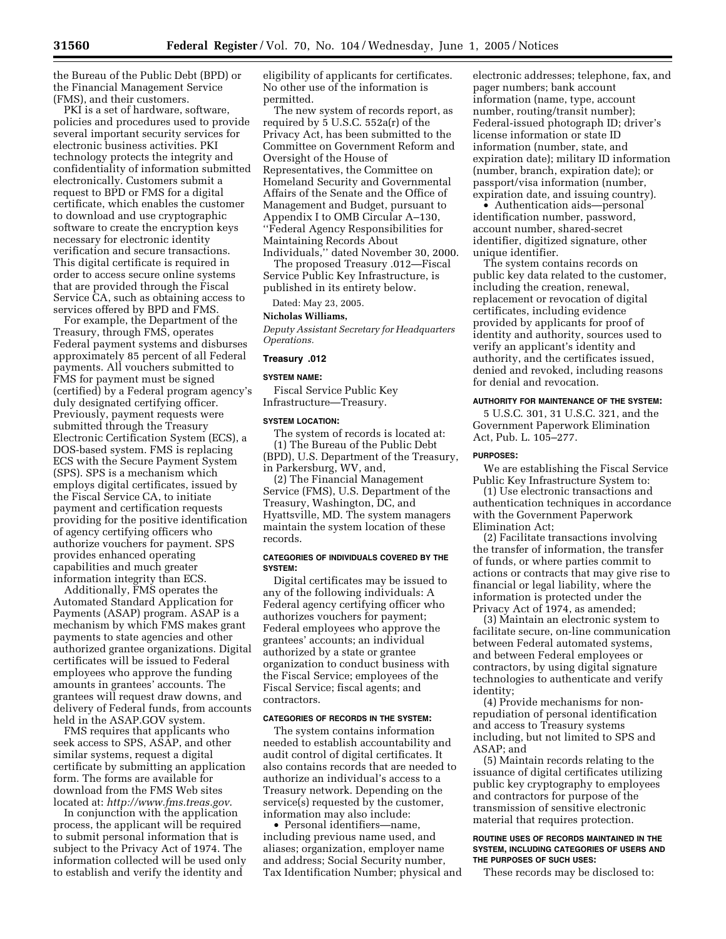the Bureau of the Public Debt (BPD) or the Financial Management Service (FMS), and their customers.

PKI is a set of hardware, software, policies and procedures used to provide several important security services for electronic business activities. PKI technology protects the integrity and confidentiality of information submitted electronically. Customers submit a request to BPD or FMS for a digital certificate, which enables the customer to download and use cryptographic software to create the encryption keys necessary for electronic identity verification and secure transactions. This digital certificate is required in order to access secure online systems that are provided through the Fiscal Service CA, such as obtaining access to services offered by BPD and FMS.

For example, the Department of the Treasury, through FMS, operates Federal payment systems and disburses approximately 85 percent of all Federal payments. All vouchers submitted to FMS for payment must be signed (certified) by a Federal program agency's duly designated certifying officer. Previously, payment requests were submitted through the Treasury Electronic Certification System (ECS), a DOS-based system. FMS is replacing ECS with the Secure Payment System (SPS). SPS is a mechanism which employs digital certificates, issued by the Fiscal Service CA, to initiate payment and certification requests providing for the positive identification of agency certifying officers who authorize vouchers for payment. SPS provides enhanced operating capabilities and much greater information integrity than ECS.

Additionally, FMS operates the Automated Standard Application for Payments (ASAP) program. ASAP is a mechanism by which FMS makes grant payments to state agencies and other authorized grantee organizations. Digital certificates will be issued to Federal employees who approve the funding amounts in grantees' accounts. The grantees will request draw downs, and delivery of Federal funds, from accounts held in the ASAP.GOV system.

FMS requires that applicants who seek access to SPS, ASAP, and other similar systems, request a digital certificate by submitting an application form. The forms are available for download from the FMS Web sites located at: *http://www.fms.treas.gov*.

In conjunction with the application process, the applicant will be required to submit personal information that is subject to the Privacy Act of 1974. The information collected will be used only to establish and verify the identity and

eligibility of applicants for certificates. No other use of the information is permitted.

The new system of records report, as required by 5 U.S.C. 552a(r) of the Privacy Act, has been submitted to the Committee on Government Reform and Oversight of the House of Representatives, the Committee on Homeland Security and Governmental Affairs of the Senate and the Office of Management and Budget, pursuant to Appendix I to OMB Circular A–130, ''Federal Agency Responsibilities for Maintaining Records About Individuals,'' dated November 30, 2000.

The proposed Treasury .012—Fiscal Service Public Key Infrastructure, is published in its entirety below.

Dated: May 23, 2005.

# **Nicholas Williams,**

*Deputy Assistant Secretary for Headquarters Operations.*

#### **Treasury .012**

#### **SYSTEM NAME:**

Fiscal Service Public Key Infrastructure—Treasury.

#### **SYSTEM LOCATION:**

The system of records is located at: (1) The Bureau of the Public Debt (BPD), U.S. Department of the Treasury, in Parkersburg, WV, and,

(2) The Financial Management Service (FMS), U.S. Department of the Treasury, Washington, DC, and Hyattsville, MD. The system managers maintain the system location of these records.

## **CATEGORIES OF INDIVIDUALS COVERED BY THE SYSTEM:**

Digital certificates may be issued to any of the following individuals: A Federal agency certifying officer who authorizes vouchers for payment; Federal employees who approve the grantees' accounts; an individual authorized by a state or grantee organization to conduct business with the Fiscal Service; employees of the Fiscal Service; fiscal agents; and contractors.

## **CATEGORIES OF RECORDS IN THE SYSTEM:**

The system contains information needed to establish accountability and audit control of digital certificates. It also contains records that are needed to authorize an individual's access to a Treasury network. Depending on the service(s) requested by the customer, information may also include:

• Personal identifiers—name, including previous name used, and aliases; organization, employer name and address; Social Security number, Tax Identification Number; physical and

electronic addresses; telephone, fax, and pager numbers; bank account information (name, type, account number, routing/transit number); Federal-issued photograph ID; driver's license information or state ID information (number, state, and expiration date); military ID information (number, branch, expiration date); or passport/visa information (number, expiration date, and issuing country).

• Authentication aids—personal identification number, password, account number, shared-secret identifier, digitized signature, other unique identifier.

The system contains records on public key data related to the customer, including the creation, renewal, replacement or revocation of digital certificates, including evidence provided by applicants for proof of identity and authority, sources used to verify an applicant's identity and authority, and the certificates issued, denied and revoked, including reasons for denial and revocation.

## **AUTHORITY FOR MAINTENANCE OF THE SYSTEM:**

5 U.S.C. 301, 31 U.S.C. 321, and the Government Paperwork Elimination Act, Pub. L. 105–277.

#### **PURPOSES:**

We are establishing the Fiscal Service Public Key Infrastructure System to:

(1) Use electronic transactions and authentication techniques in accordance with the Government Paperwork Elimination Act;

(2) Facilitate transactions involving the transfer of information, the transfer of funds, or where parties commit to actions or contracts that may give rise to financial or legal liability, where the information is protected under the Privacy Act of 1974, as amended;

(3) Maintain an electronic system to facilitate secure, on-line communication between Federal automated systems, and between Federal employees or contractors, by using digital signature technologies to authenticate and verify identity;

(4) Provide mechanisms for nonrepudiation of personal identification and access to Treasury systems including, but not limited to SPS and ASAP; and

(5) Maintain records relating to the issuance of digital certificates utilizing public key cryptography to employees and contractors for purpose of the transmission of sensitive electronic material that requires protection.

#### **ROUTINE USES OF RECORDS MAINTAINED IN THE SYSTEM, INCLUDING CATEGORIES OF USERS AND THE PURPOSES OF SUCH USES:**

These records may be disclosed to: